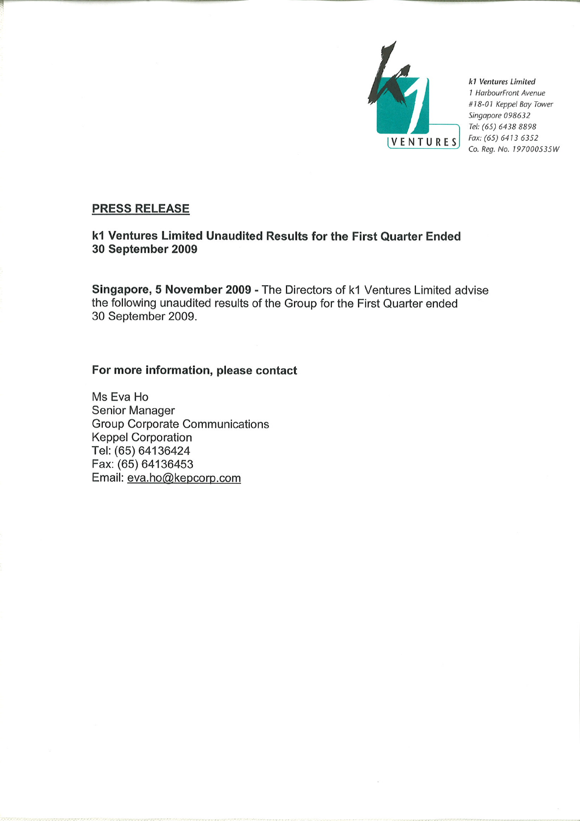

k1 Ventures Limited 1 HarbourFront Avenue #18-01 Keppel Bay Tower Singapore 098632 Tel: (65) 6438 8898 Fax: (65) 6413 6352 Co. Reg. No. 197000535W

# **PRESS RELEASE**

# k1 Ventures Limited Unaudited Results for the First Quarter Ended 30 September 2009

Singapore, 5 November 2009 - The Directors of k1 Ventures Limited advise the following unaudited results of the Group for the First Quarter ended 30 September 2009.

# For more information, please contact

Ms Eva Ho Senior Manager **Group Corporate Communications Keppel Corporation** Tel: (65) 64136424 Fax: (65) 64136453 Email: eva.ho@kepcorp.com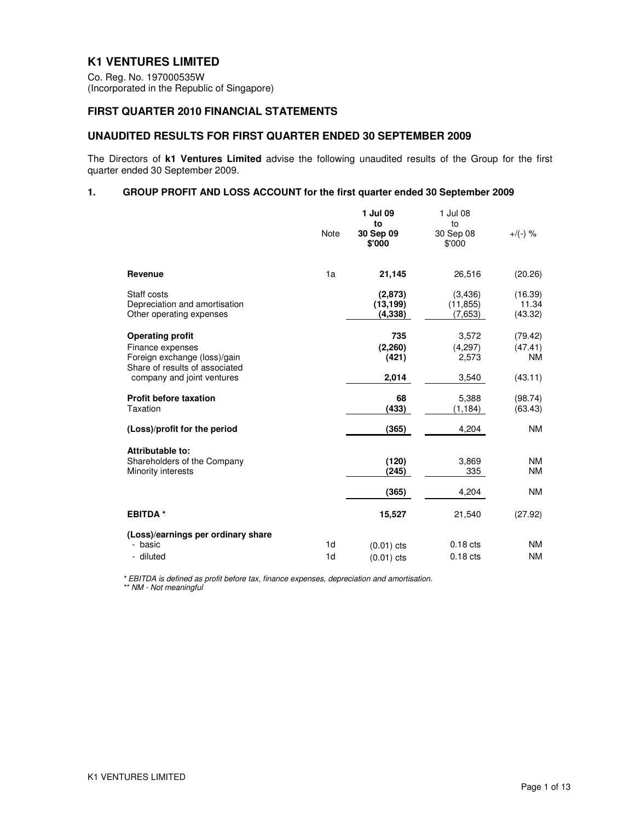# **K1 VENTURES LIMITED**

Co. Reg. No. 197000535W (Incorporated in the Republic of Singapore)

# **FIRST QUARTER 2010 FINANCIAL STATEMENTS**

## **UNAUDITED RESULTS FOR FIRST QUARTER ENDED 30 SEPTEMBER 2009**

The Directors of **k1 Ventures Limited** advise the following unaudited results of the Group for the first quarter ended 30 September 2009.

## **1. GROUP PROFIT AND LOSS ACCOUNT for the first quarter ended 30 September 2009**

|                                                                                                                                             | <b>Note</b>                      | 1 Jul 09<br>to<br>30 Sep 09<br>\$'000 | 1 Jul 08<br>to<br>30 Sep 08<br>\$'000 | $+$ /(-) %                                 |
|---------------------------------------------------------------------------------------------------------------------------------------------|----------------------------------|---------------------------------------|---------------------------------------|--------------------------------------------|
| Revenue                                                                                                                                     | 1a                               | 21,145                                | 26.516                                | (20.26)                                    |
| Staff costs<br>Depreciation and amortisation<br>Other operating expenses                                                                    |                                  | (2,873)<br>(13, 199)<br>(4,338)       | (3,436)<br>(11, 855)<br>(7,653)       | (16.39)<br>11.34<br>(43.32)                |
| <b>Operating profit</b><br>Finance expenses<br>Foreign exchange (loss)/gain<br>Share of results of associated<br>company and joint ventures |                                  | 735<br>(2,260)<br>(421)<br>2,014      | 3,572<br>(4,297)<br>2,573<br>3,540    | (79.42)<br>(47.41)<br><b>NM</b><br>(43.11) |
| <b>Profit before taxation</b><br>Taxation                                                                                                   |                                  | 68<br>(433)                           | 5.388<br>(1, 184)                     | (98.74)<br>(63.43)                         |
| (Loss)/profit for the period                                                                                                                |                                  | (365)                                 | 4,204                                 | <b>NM</b>                                  |
| Attributable to:<br>Shareholders of the Company<br>Minority interests                                                                       |                                  | (120)<br>(245)                        | 3,869<br>335                          | <b>NM</b><br><b>NM</b>                     |
|                                                                                                                                             |                                  | (365)                                 | 4,204                                 | <b>NM</b>                                  |
| <b>EBITDA*</b>                                                                                                                              |                                  | 15,527                                | 21.540                                | (27.92)                                    |
| (Loss)/earnings per ordinary share<br>- basic<br>- diluted                                                                                  | 1 <sub>d</sub><br>1 <sub>d</sub> | $(0.01)$ cts<br>$(0.01)$ cts          | $0.18$ cts<br>$0.18$ cts              | <b>NM</b><br><b>NM</b>                     |

\* EBITDA is defined as profit before tax, finance expenses, depreciation and amortisation. \*\* NM - Not meaningful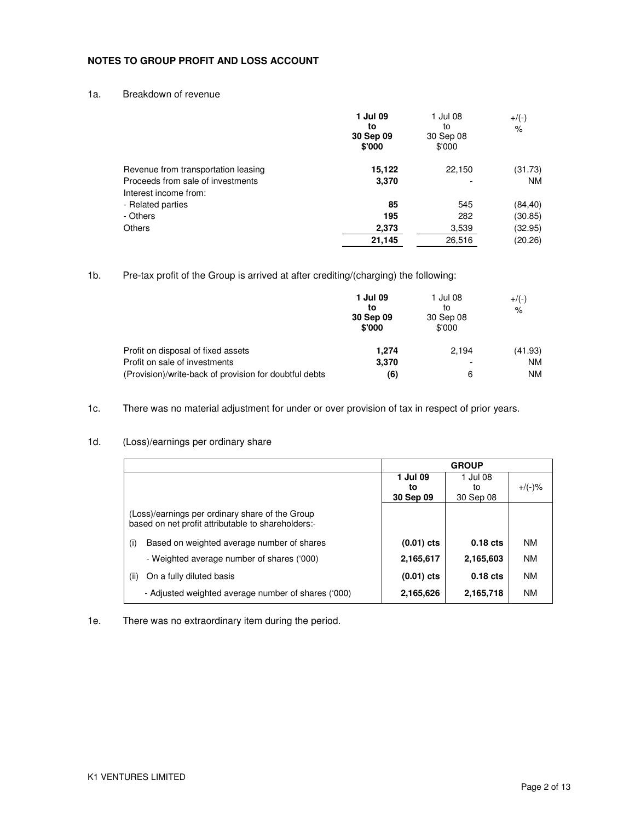## **NOTES TO GROUP PROFIT AND LOSS ACCOUNT**

#### 1a. Breakdown of revenue

|                                     | 1 Jul 09<br>to<br>30 Sep 09<br>\$'000 | 1 Jul 08<br>to<br>30 Sep 08<br>\$'000 | $+$ /(-)<br>$\%$ |
|-------------------------------------|---------------------------------------|---------------------------------------|------------------|
| Revenue from transportation leasing | 15,122                                | 22,150                                | (31.73)          |
| Proceeds from sale of investments   | 3,370                                 |                                       | <b>NM</b>        |
| Interest income from:               |                                       |                                       |                  |
| - Related parties                   | 85                                    | 545                                   | (84, 40)         |
| - Others                            | 195                                   | 282                                   | (30.85)          |
| <b>Others</b>                       | 2,373                                 | 3,539                                 | (32.95)          |
|                                     | 21,145                                | 26.516                                | (20.26)          |

1b. Pre-tax profit of the Group is arrived at after crediting/(charging) the following:

|                                                        | 1 Jul 09<br>to<br>30 Sep 09<br>\$'000 | 1 Jul 08<br>to<br>30 Sep 08<br>\$'000 | $+/(-)$<br>$\frac{9}{6}$ |
|--------------------------------------------------------|---------------------------------------|---------------------------------------|--------------------------|
| Profit on disposal of fixed assets                     | 1.274                                 | 2.194                                 | (41.93)                  |
| Profit on sale of investments                          | 3,370                                 |                                       | <b>NM</b>                |
| (Provision)/write-back of provision for doubtful debts | (6)                                   | 6                                     | <b>NM</b>                |

1c. There was no material adjustment for under or over provision of tax in respect of prior years.

#### **GROUP 1 Jul 09 to 30 Sep 09**  1 Jul 08 to 30 Sep 08 +/(-)% (Loss)/earnings per ordinary share of the Group based on net profit attributable to shareholders:- (i) Based on weighted average number of shares **(0.01) cts 0.18 cts** NM - Weighted average number of shares ('000) **2,165,617 2,165,603** NM (ii) On a fully diluted basis **and a continuum of the contract of the contract of the CO-01) cts 0.18 cts** NM - Adjusted weighted average number of shares ('000) **2,165,626 2,165,718** MM

## 1d. (Loss)/earnings per ordinary share

1e. There was no extraordinary item during the period.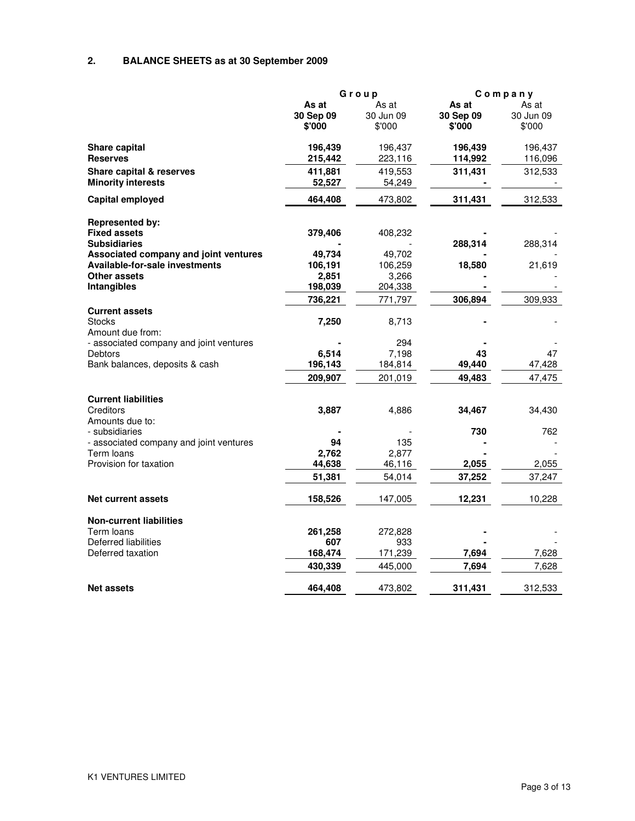# **2. BALANCE SHEETS as at 30 September 2009**

|                                                           | Group                        |                              | Company                      |                              |
|-----------------------------------------------------------|------------------------------|------------------------------|------------------------------|------------------------------|
|                                                           | As at<br>30 Sep 09<br>\$'000 | As at<br>30 Jun 09<br>\$'000 | As at<br>30 Sep 09<br>\$'000 | As at<br>30 Jun 09<br>\$'000 |
|                                                           |                              |                              |                              |                              |
| Share capital                                             | 196,439                      | 196,437                      | 196,439                      | 196,437                      |
| <b>Reserves</b>                                           | 215,442                      | 223,116                      | 114,992                      | 116,096                      |
| Share capital & reserves                                  | 411,881                      | 419,553                      | 311,431                      | 312,533                      |
| <b>Minority interests</b>                                 | 52,527                       | 54,249                       |                              |                              |
| Capital employed                                          | 464,408                      | 473,802                      | 311,431                      | 312,533                      |
|                                                           |                              |                              |                              |                              |
| <b>Represented by:</b><br><b>Fixed assets</b>             |                              |                              |                              |                              |
| <b>Subsidiaries</b>                                       | 379,406                      | 408,232                      | 288,314                      | 288,314                      |
| Associated company and joint ventures                     | 49,734                       | 49,702                       |                              |                              |
| <b>Available-for-sale investments</b>                     | 106,191                      | 106,259                      | 18,580                       | 21,619                       |
| Other assets                                              | 2,851                        | 3,266                        |                              |                              |
| Intangibles                                               | 198,039                      | 204,338                      |                              |                              |
|                                                           | 736,221                      | 771,797                      | 306,894                      | 309,933                      |
| <b>Current assets</b>                                     |                              |                              |                              |                              |
| <b>Stocks</b>                                             | 7,250                        | 8,713                        |                              |                              |
| Amount due from:                                          |                              |                              |                              |                              |
| - associated company and joint ventures<br><b>Debtors</b> | 6,514                        | 294<br>7,198                 | 43                           | 47                           |
| Bank balances, deposits & cash                            | 196,143                      | 184,814                      | 49,440                       | 47,428                       |
|                                                           | 209,907                      | 201,019                      | 49,483                       | 47,475                       |
|                                                           |                              |                              |                              |                              |
| <b>Current liabilities</b>                                |                              |                              |                              |                              |
| Creditors                                                 | 3,887                        | 4,886                        | 34,467                       | 34,430                       |
| Amounts due to:                                           |                              |                              |                              |                              |
| - subsidiaries                                            |                              |                              | 730                          | 762                          |
| - associated company and joint ventures<br>Term loans     | 94<br>2,762                  | 135                          |                              |                              |
| Provision for taxation                                    | 44,638                       | 2,877<br>46,116              | 2,055                        | 2,055                        |
|                                                           | 51,381                       | 54,014                       | 37,252                       | 37,247                       |
|                                                           |                              |                              |                              |                              |
| <b>Net current assets</b>                                 | 158,526                      | 147,005                      | 12,231                       | 10,228                       |
| <b>Non-current liabilities</b>                            |                              |                              |                              |                              |
| Term loans                                                | 261,258                      | 272,828                      |                              |                              |
| Deferred liabilities                                      | 607                          | 933                          |                              |                              |
| Deferred taxation                                         | 168,474                      | 171,239                      | 7,694                        | 7,628                        |
|                                                           | 430,339                      | 445,000                      | 7,694                        | 7,628                        |
| <b>Net assets</b>                                         | 464,408                      | 473,802                      | 311,431                      | 312,533                      |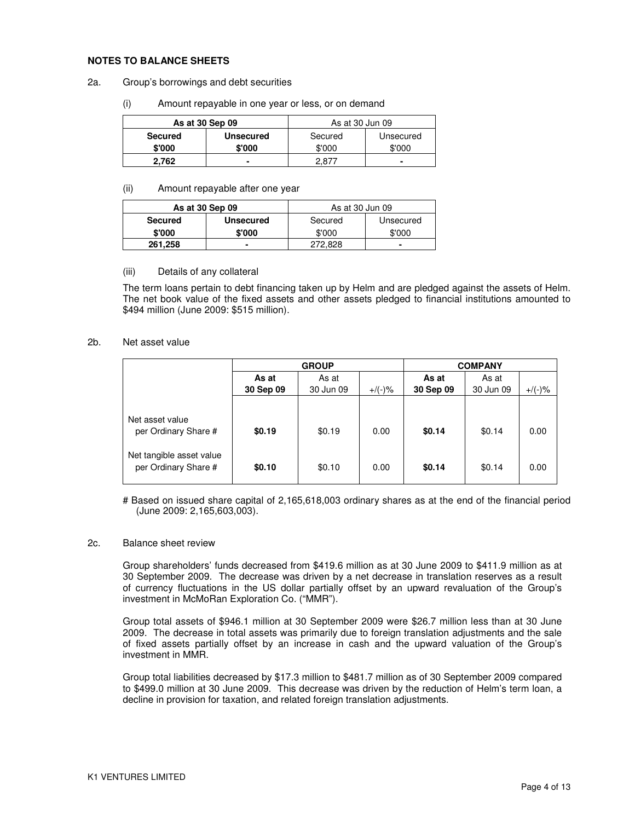#### **NOTES TO BALANCE SHEETS**

#### 2a. Group's borrowings and debt securities

(i) Amount repayable in one year or less, or on demand

| As at 30 Sep 09 |                  | As at 30 Jun 09 |           |  |
|-----------------|------------------|-----------------|-----------|--|
| <b>Secured</b>  | <b>Unsecured</b> | Secured         | Unsecured |  |
| \$'000          | \$'000           | \$'000          | \$'000    |  |
| 2.762           |                  | ∵ 87. ∠         | ۰         |  |

#### (ii) Amount repayable after one year

| As at 30 Sep 09 |                  | As at 30 Jun 09      |        |  |
|-----------------|------------------|----------------------|--------|--|
| <b>Secured</b>  | <b>Unsecured</b> | Secured<br>Unsecured |        |  |
| \$'000          | \$'000           | \$'000               | \$'000 |  |
| 261,258         |                  | 272.828              |        |  |

#### (iii) Details of any collateral

The term loans pertain to debt financing taken up by Helm and are pledged against the assets of Helm. The net book value of the fixed assets and other assets pledged to financial institutions amounted to \$494 million (June 2009: \$515 million).

#### 2b. Net asset value

|                                                  | <b>GROUP</b>   |           |           | <b>COMPANY</b> |           |           |
|--------------------------------------------------|----------------|-----------|-----------|----------------|-----------|-----------|
|                                                  | As at<br>As at |           | As at     |                |           |           |
|                                                  | 30 Sep 09      | 30 Jun 09 | $+$ /(-)% | 30 Sep 09      | 30 Jun 09 | $+/(-)$ % |
|                                                  |                |           |           |                |           |           |
| Net asset value<br>per Ordinary Share #          | \$0.19         | \$0.19    | 0.00      | \$0.14         | \$0.14    | 0.00      |
| Net tangible asset value<br>per Ordinary Share # | \$0.10         | \$0.10    | 0.00      | \$0.14         | \$0.14    | 0.00      |

# Based on issued share capital of 2,165,618,003 ordinary shares as at the end of the financial period (June 2009: 2,165,603,003).

#### 2c. Balance sheet review

Group shareholders' funds decreased from \$419.6 million as at 30 June 2009 to \$411.9 million as at 30 September 2009. The decrease was driven by a net decrease in translation reserves as a result of currency fluctuations in the US dollar partially offset by an upward revaluation of the Group's investment in McMoRan Exploration Co. ("MMR").

Group total assets of \$946.1 million at 30 September 2009 were \$26.7 million less than at 30 June 2009. The decrease in total assets was primarily due to foreign translation adjustments and the sale of fixed assets partially offset by an increase in cash and the upward valuation of the Group's investment in MMR.

Group total liabilities decreased by \$17.3 million to \$481.7 million as of 30 September 2009 compared to \$499.0 million at 30 June 2009. This decrease was driven by the reduction of Helm's term loan, a decline in provision for taxation, and related foreign translation adjustments.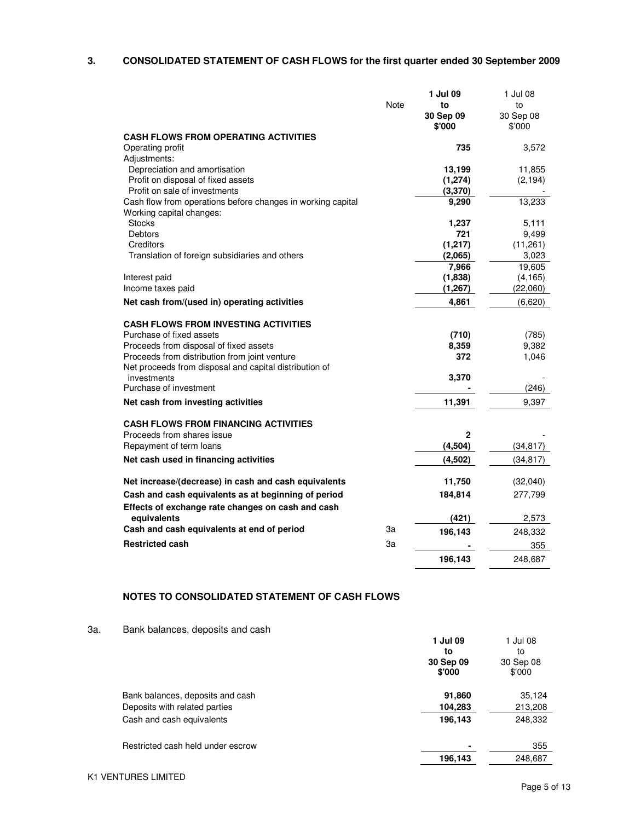# **3. CONSOLIDATED STATEMENT OF CASH FLOWS for the first quarter ended 30 September 2009**

| 30 Sep 09<br>30 Sep 08<br>\$'000<br>\$'000<br><b>CASH FLOWS FROM OPERATING ACTIVITIES</b><br>Operating profit<br>735<br>3,572<br>Adjustments:<br>Depreciation and amortisation<br>13,199<br>11,855<br>Profit on disposal of fixed assets<br>(1, 274)<br>(2, 194)<br>Profit on sale of investments<br>(3,370)<br>Cash flow from operations before changes in working capital<br>13,233<br>9,290<br>Working capital changes:<br><b>Stocks</b><br>5.111<br>1,237<br><b>Debtors</b><br>721<br>9,499<br>Creditors<br>(1,217)<br>(11,261)<br>Translation of foreign subsidiaries and others<br>(2,065)<br>3,023<br>7,966<br>19,605<br>(1,838)<br>Interest paid<br>(4, 165)<br>Income taxes paid<br>(1, 267)<br>(22,060)<br>Net cash from/(used in) operating activities<br>4.861<br>(6,620)<br><b>CASH FLOWS FROM INVESTING ACTIVITIES</b><br>Purchase of fixed assets<br>(710)<br>(785)<br>Proceeds from disposal of fixed assets<br>9,382<br>8,359<br>Proceeds from distribution from joint venture<br>372<br>1,046<br>Net proceeds from disposal and capital distribution of<br>3,370<br>investments<br>Purchase of investment<br>(246)<br>Net cash from investing activities<br>11,391<br>9,397<br><b>CASH FLOWS FROM FINANCING ACTIVITIES</b><br>Proceeds from shares issue<br>2<br>(4,504)<br>Repayment of term loans<br>(34, 817)<br>Net cash used in financing activities<br>(4,502)<br>(34, 817)<br>Net increase/(decrease) in cash and cash equivalents<br>11,750<br>(32,040)<br>Cash and cash equivalents as at beginning of period<br>184,814<br>277,799<br>Effects of exchange rate changes on cash and cash<br>equivalents<br>(421)<br>2,573<br>Cash and cash equivalents at end of period<br>За<br>196,143<br>248,332<br><b>Restricted cash</b><br>За<br>355 |      | 1 Jul 09 | 1 Jul 08 |
|-----------------------------------------------------------------------------------------------------------------------------------------------------------------------------------------------------------------------------------------------------------------------------------------------------------------------------------------------------------------------------------------------------------------------------------------------------------------------------------------------------------------------------------------------------------------------------------------------------------------------------------------------------------------------------------------------------------------------------------------------------------------------------------------------------------------------------------------------------------------------------------------------------------------------------------------------------------------------------------------------------------------------------------------------------------------------------------------------------------------------------------------------------------------------------------------------------------------------------------------------------------------------------------------------------------------------------------------------------------------------------------------------------------------------------------------------------------------------------------------------------------------------------------------------------------------------------------------------------------------------------------------------------------------------------------------------------------------------------------------------------------------------|------|----------|----------|
|                                                                                                                                                                                                                                                                                                                                                                                                                                                                                                                                                                                                                                                                                                                                                                                                                                                                                                                                                                                                                                                                                                                                                                                                                                                                                                                                                                                                                                                                                                                                                                                                                                                                                                                                                                       | Note | to       | to       |
|                                                                                                                                                                                                                                                                                                                                                                                                                                                                                                                                                                                                                                                                                                                                                                                                                                                                                                                                                                                                                                                                                                                                                                                                                                                                                                                                                                                                                                                                                                                                                                                                                                                                                                                                                                       |      |          |          |
|                                                                                                                                                                                                                                                                                                                                                                                                                                                                                                                                                                                                                                                                                                                                                                                                                                                                                                                                                                                                                                                                                                                                                                                                                                                                                                                                                                                                                                                                                                                                                                                                                                                                                                                                                                       |      |          |          |
|                                                                                                                                                                                                                                                                                                                                                                                                                                                                                                                                                                                                                                                                                                                                                                                                                                                                                                                                                                                                                                                                                                                                                                                                                                                                                                                                                                                                                                                                                                                                                                                                                                                                                                                                                                       |      |          |          |
|                                                                                                                                                                                                                                                                                                                                                                                                                                                                                                                                                                                                                                                                                                                                                                                                                                                                                                                                                                                                                                                                                                                                                                                                                                                                                                                                                                                                                                                                                                                                                                                                                                                                                                                                                                       |      |          |          |
|                                                                                                                                                                                                                                                                                                                                                                                                                                                                                                                                                                                                                                                                                                                                                                                                                                                                                                                                                                                                                                                                                                                                                                                                                                                                                                                                                                                                                                                                                                                                                                                                                                                                                                                                                                       |      |          |          |
|                                                                                                                                                                                                                                                                                                                                                                                                                                                                                                                                                                                                                                                                                                                                                                                                                                                                                                                                                                                                                                                                                                                                                                                                                                                                                                                                                                                                                                                                                                                                                                                                                                                                                                                                                                       |      |          |          |
|                                                                                                                                                                                                                                                                                                                                                                                                                                                                                                                                                                                                                                                                                                                                                                                                                                                                                                                                                                                                                                                                                                                                                                                                                                                                                                                                                                                                                                                                                                                                                                                                                                                                                                                                                                       |      |          |          |
|                                                                                                                                                                                                                                                                                                                                                                                                                                                                                                                                                                                                                                                                                                                                                                                                                                                                                                                                                                                                                                                                                                                                                                                                                                                                                                                                                                                                                                                                                                                                                                                                                                                                                                                                                                       |      |          |          |
|                                                                                                                                                                                                                                                                                                                                                                                                                                                                                                                                                                                                                                                                                                                                                                                                                                                                                                                                                                                                                                                                                                                                                                                                                                                                                                                                                                                                                                                                                                                                                                                                                                                                                                                                                                       |      |          |          |
|                                                                                                                                                                                                                                                                                                                                                                                                                                                                                                                                                                                                                                                                                                                                                                                                                                                                                                                                                                                                                                                                                                                                                                                                                                                                                                                                                                                                                                                                                                                                                                                                                                                                                                                                                                       |      |          |          |
|                                                                                                                                                                                                                                                                                                                                                                                                                                                                                                                                                                                                                                                                                                                                                                                                                                                                                                                                                                                                                                                                                                                                                                                                                                                                                                                                                                                                                                                                                                                                                                                                                                                                                                                                                                       |      |          |          |
|                                                                                                                                                                                                                                                                                                                                                                                                                                                                                                                                                                                                                                                                                                                                                                                                                                                                                                                                                                                                                                                                                                                                                                                                                                                                                                                                                                                                                                                                                                                                                                                                                                                                                                                                                                       |      |          |          |
|                                                                                                                                                                                                                                                                                                                                                                                                                                                                                                                                                                                                                                                                                                                                                                                                                                                                                                                                                                                                                                                                                                                                                                                                                                                                                                                                                                                                                                                                                                                                                                                                                                                                                                                                                                       |      |          |          |
|                                                                                                                                                                                                                                                                                                                                                                                                                                                                                                                                                                                                                                                                                                                                                                                                                                                                                                                                                                                                                                                                                                                                                                                                                                                                                                                                                                                                                                                                                                                                                                                                                                                                                                                                                                       |      |          |          |
|                                                                                                                                                                                                                                                                                                                                                                                                                                                                                                                                                                                                                                                                                                                                                                                                                                                                                                                                                                                                                                                                                                                                                                                                                                                                                                                                                                                                                                                                                                                                                                                                                                                                                                                                                                       |      |          |          |
|                                                                                                                                                                                                                                                                                                                                                                                                                                                                                                                                                                                                                                                                                                                                                                                                                                                                                                                                                                                                                                                                                                                                                                                                                                                                                                                                                                                                                                                                                                                                                                                                                                                                                                                                                                       |      |          |          |
|                                                                                                                                                                                                                                                                                                                                                                                                                                                                                                                                                                                                                                                                                                                                                                                                                                                                                                                                                                                                                                                                                                                                                                                                                                                                                                                                                                                                                                                                                                                                                                                                                                                                                                                                                                       |      |          |          |
|                                                                                                                                                                                                                                                                                                                                                                                                                                                                                                                                                                                                                                                                                                                                                                                                                                                                                                                                                                                                                                                                                                                                                                                                                                                                                                                                                                                                                                                                                                                                                                                                                                                                                                                                                                       |      |          |          |
|                                                                                                                                                                                                                                                                                                                                                                                                                                                                                                                                                                                                                                                                                                                                                                                                                                                                                                                                                                                                                                                                                                                                                                                                                                                                                                                                                                                                                                                                                                                                                                                                                                                                                                                                                                       |      |          |          |
|                                                                                                                                                                                                                                                                                                                                                                                                                                                                                                                                                                                                                                                                                                                                                                                                                                                                                                                                                                                                                                                                                                                                                                                                                                                                                                                                                                                                                                                                                                                                                                                                                                                                                                                                                                       |      |          |          |
|                                                                                                                                                                                                                                                                                                                                                                                                                                                                                                                                                                                                                                                                                                                                                                                                                                                                                                                                                                                                                                                                                                                                                                                                                                                                                                                                                                                                                                                                                                                                                                                                                                                                                                                                                                       |      |          |          |
|                                                                                                                                                                                                                                                                                                                                                                                                                                                                                                                                                                                                                                                                                                                                                                                                                                                                                                                                                                                                                                                                                                                                                                                                                                                                                                                                                                                                                                                                                                                                                                                                                                                                                                                                                                       |      |          |          |
|                                                                                                                                                                                                                                                                                                                                                                                                                                                                                                                                                                                                                                                                                                                                                                                                                                                                                                                                                                                                                                                                                                                                                                                                                                                                                                                                                                                                                                                                                                                                                                                                                                                                                                                                                                       |      |          |          |
|                                                                                                                                                                                                                                                                                                                                                                                                                                                                                                                                                                                                                                                                                                                                                                                                                                                                                                                                                                                                                                                                                                                                                                                                                                                                                                                                                                                                                                                                                                                                                                                                                                                                                                                                                                       |      |          |          |
|                                                                                                                                                                                                                                                                                                                                                                                                                                                                                                                                                                                                                                                                                                                                                                                                                                                                                                                                                                                                                                                                                                                                                                                                                                                                                                                                                                                                                                                                                                                                                                                                                                                                                                                                                                       |      |          |          |
|                                                                                                                                                                                                                                                                                                                                                                                                                                                                                                                                                                                                                                                                                                                                                                                                                                                                                                                                                                                                                                                                                                                                                                                                                                                                                                                                                                                                                                                                                                                                                                                                                                                                                                                                                                       |      |          |          |
|                                                                                                                                                                                                                                                                                                                                                                                                                                                                                                                                                                                                                                                                                                                                                                                                                                                                                                                                                                                                                                                                                                                                                                                                                                                                                                                                                                                                                                                                                                                                                                                                                                                                                                                                                                       |      |          |          |
|                                                                                                                                                                                                                                                                                                                                                                                                                                                                                                                                                                                                                                                                                                                                                                                                                                                                                                                                                                                                                                                                                                                                                                                                                                                                                                                                                                                                                                                                                                                                                                                                                                                                                                                                                                       |      |          |          |
|                                                                                                                                                                                                                                                                                                                                                                                                                                                                                                                                                                                                                                                                                                                                                                                                                                                                                                                                                                                                                                                                                                                                                                                                                                                                                                                                                                                                                                                                                                                                                                                                                                                                                                                                                                       |      |          |          |
|                                                                                                                                                                                                                                                                                                                                                                                                                                                                                                                                                                                                                                                                                                                                                                                                                                                                                                                                                                                                                                                                                                                                                                                                                                                                                                                                                                                                                                                                                                                                                                                                                                                                                                                                                                       |      |          |          |
|                                                                                                                                                                                                                                                                                                                                                                                                                                                                                                                                                                                                                                                                                                                                                                                                                                                                                                                                                                                                                                                                                                                                                                                                                                                                                                                                                                                                                                                                                                                                                                                                                                                                                                                                                                       |      |          |          |
|                                                                                                                                                                                                                                                                                                                                                                                                                                                                                                                                                                                                                                                                                                                                                                                                                                                                                                                                                                                                                                                                                                                                                                                                                                                                                                                                                                                                                                                                                                                                                                                                                                                                                                                                                                       |      |          |          |
|                                                                                                                                                                                                                                                                                                                                                                                                                                                                                                                                                                                                                                                                                                                                                                                                                                                                                                                                                                                                                                                                                                                                                                                                                                                                                                                                                                                                                                                                                                                                                                                                                                                                                                                                                                       |      |          |          |
|                                                                                                                                                                                                                                                                                                                                                                                                                                                                                                                                                                                                                                                                                                                                                                                                                                                                                                                                                                                                                                                                                                                                                                                                                                                                                                                                                                                                                                                                                                                                                                                                                                                                                                                                                                       |      |          |          |
|                                                                                                                                                                                                                                                                                                                                                                                                                                                                                                                                                                                                                                                                                                                                                                                                                                                                                                                                                                                                                                                                                                                                                                                                                                                                                                                                                                                                                                                                                                                                                                                                                                                                                                                                                                       |      |          |          |
|                                                                                                                                                                                                                                                                                                                                                                                                                                                                                                                                                                                                                                                                                                                                                                                                                                                                                                                                                                                                                                                                                                                                                                                                                                                                                                                                                                                                                                                                                                                                                                                                                                                                                                                                                                       |      |          |          |
|                                                                                                                                                                                                                                                                                                                                                                                                                                                                                                                                                                                                                                                                                                                                                                                                                                                                                                                                                                                                                                                                                                                                                                                                                                                                                                                                                                                                                                                                                                                                                                                                                                                                                                                                                                       |      | 196,143  | 248,687  |

## **NOTES TO CONSOLIDATED STATEMENT OF CASH FLOWS**

#### 3a. Bank balances, deposits and cash

|                                   | 1 Jul 09<br>to      | 1 Jul 08<br>to      |
|-----------------------------------|---------------------|---------------------|
|                                   | 30 Sep 09<br>\$'000 | 30 Sep 08<br>\$'000 |
| Bank balances, deposits and cash  | 91,860              | 35,124              |
| Deposits with related parties     | 104,283             | 213,208             |
| Cash and cash equivalents         | 196,143             | 248,332             |
| Restricted cash held under escrow | ٠                   | 355                 |
|                                   | 196,143             | 248,687             |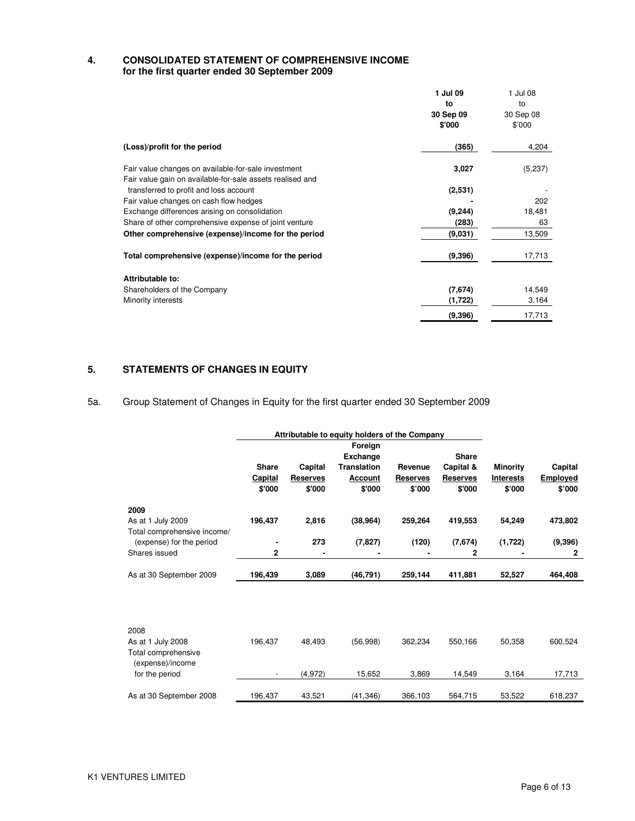### **4. CONSOLIDATED STATEMENT OF COMPREHENSIVE INCOME for the first quarter ended 30 September 2009**

|                                                                                                                  | 1 Jul 09<br>to      | 1 Jul 08<br>to      |
|------------------------------------------------------------------------------------------------------------------|---------------------|---------------------|
|                                                                                                                  | 30 Sep 09<br>\$'000 | 30 Sep 08<br>\$'000 |
| (Loss)/profit for the period                                                                                     | (365)               | 4,204               |
| Fair value changes on available-for-sale investment<br>Fair value gain on available-for-sale assets realised and | 3,027               | (5,237)             |
| transferred to profit and loss account                                                                           | (2,531)             |                     |
| Fair value changes on cash flow hedges                                                                           |                     | 202                 |
| Exchange differences arising on consolidation                                                                    | (9, 244)            | 18,481              |
| Share of other comprehensive expense of joint venture                                                            | (283)               | 63                  |
| Other comprehensive (expense)/income for the period                                                              | (9,031)             | 13,509              |
| Total comprehensive (expense)/income for the period                                                              | (9,396)             | 17,713              |
| Attributable to:                                                                                                 |                     |                     |
| Shareholders of the Company                                                                                      | (7,674)             | 14,549              |
| Minority interests                                                                                               | (1,722)             | 3,164               |
|                                                                                                                  | (9, 396)            | 17,713              |

#### **5. STATEMENTS OF CHANGES IN EQUITY**

5a. Group Statement of Changes in Equity for the first quarter ended 30 September 2009

|                                                              | Attributable to equity holders of the Company |                 |                    |                 |                 |                  |                 |
|--------------------------------------------------------------|-----------------------------------------------|-----------------|--------------------|-----------------|-----------------|------------------|-----------------|
|                                                              |                                               |                 | Foreign            |                 |                 |                  |                 |
|                                                              |                                               |                 | <b>Exchange</b>    |                 | <b>Share</b>    |                  |                 |
|                                                              | <b>Share</b>                                  | Capital         | <b>Translation</b> | Revenue         | Capital &       | <b>Minority</b>  | Capital         |
|                                                              | Capital                                       | <b>Reserves</b> | <b>Account</b>     | <b>Reserves</b> | <b>Reserves</b> | <b>Interests</b> | <b>Employed</b> |
|                                                              | \$'000                                        | \$'000          | \$'000             | \$'000          | \$'000          | \$'000           | \$'000          |
| 2009                                                         |                                               |                 |                    |                 |                 |                  |                 |
| As at 1 July 2009                                            | 196,437                                       | 2,816           | (38, 964)          | 259,264         | 419,553         | 54,249           | 473,802         |
| Total comprehensive income/                                  |                                               |                 |                    |                 |                 |                  |                 |
| (expense) for the period                                     | ٠                                             | 273             | (7, 827)           | (120)           | (7,674)         | (1,722)          | (9, 396)        |
| Shares issued                                                | 2                                             |                 |                    |                 | 2               | ۰                | $\mathbf{2}$    |
| As at 30 September 2009                                      | 196,439                                       | 3,089           | (46, 791)          | 259,144         | 411,881         | 52,527           | 464,408         |
|                                                              |                                               |                 |                    |                 |                 |                  |                 |
| 2008                                                         |                                               |                 |                    |                 |                 |                  |                 |
| As at 1 July 2008<br>Total comprehensive<br>(expense)/income | 196.437                                       | 48.493          | (56,998)           | 362.234         | 550,166         | 50,358           | 600,524         |
| for the period                                               |                                               | (4,972)         | 15,652             | 3,869           | 14,549          | 3,164            | 17,713          |
|                                                              |                                               |                 |                    |                 |                 |                  |                 |
| As at 30 September 2008                                      | 196.437                                       | 43,521          | (41, 346)          | 366,103         | 564,715         | 53,522           | 618,237         |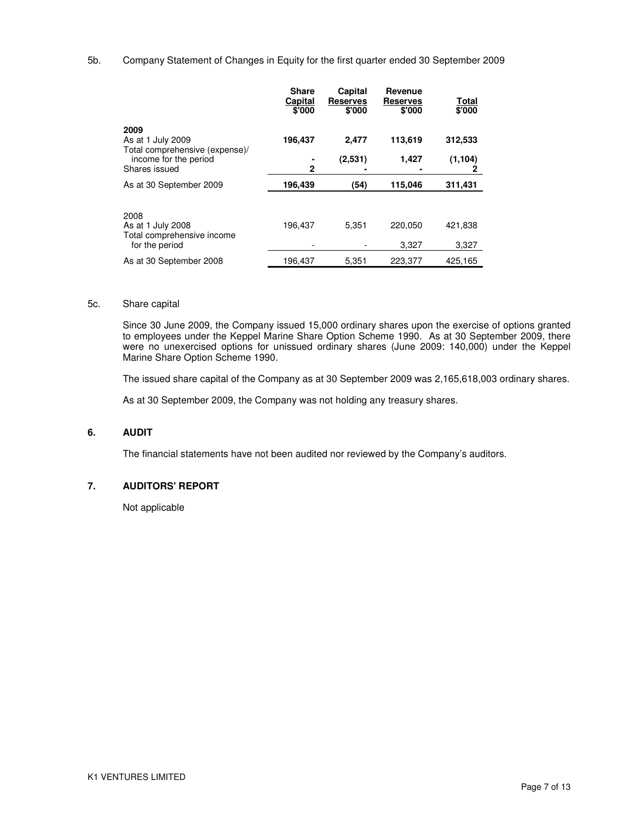## 5b. Company Statement of Changes in Equity for the first quarter ended 30 September 2009

|                                                                           | <b>Share</b><br>Capital<br>\$'000 | Capital<br><b>Reserves</b><br>\$'000 | Revenue<br><b>Reserves</b><br>\$'000 | Total<br>\$'000  |
|---------------------------------------------------------------------------|-----------------------------------|--------------------------------------|--------------------------------------|------------------|
| 2009<br>As at 1 July 2009                                                 | 196,437                           | 2,477                                | 113,619                              | 312,533          |
| Total comprehensive (expense)/<br>income for the period<br>Shares issued  | $\mathbf{2}$                      | (2,531)                              | 1,427                                | (1, 104)<br>2    |
| As at 30 September 2009                                                   | 196,439                           | (54)                                 | 115,046                              | 311,431          |
| 2008<br>As at 1 July 2008<br>Total comprehensive income<br>for the period | 196,437                           | 5,351                                | 220,050<br>3,327                     | 421,838<br>3,327 |
| As at 30 September 2008                                                   | 196,437                           | 5.351                                | 223.377                              | 425.165          |

#### 5c. Share capital

Since 30 June 2009, the Company issued 15,000 ordinary shares upon the exercise of options granted to employees under the Keppel Marine Share Option Scheme 1990. As at 30 September 2009, there were no unexercised options for unissued ordinary shares (June 2009: 140,000) under the Keppel Marine Share Option Scheme 1990.

The issued share capital of the Company as at 30 September 2009 was 2,165,618,003 ordinary shares.

As at 30 September 2009, the Company was not holding any treasury shares.

### **6. AUDIT**

The financial statements have not been audited nor reviewed by the Company's auditors.

## **7. AUDITORS' REPORT**

Not applicable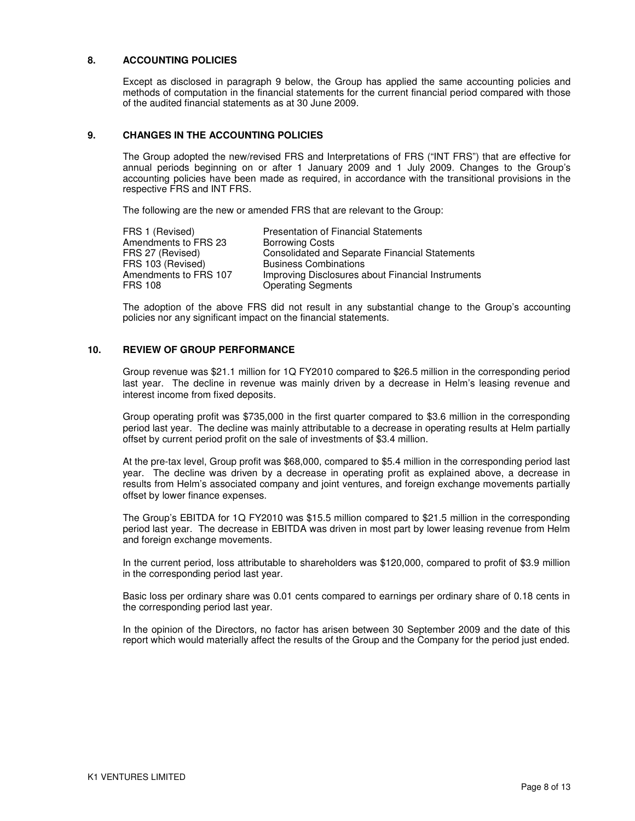### **8. ACCOUNTING POLICIES**

Except as disclosed in paragraph 9 below, the Group has applied the same accounting policies and methods of computation in the financial statements for the current financial period compared with those of the audited financial statements as at 30 June 2009.

### **9. CHANGES IN THE ACCOUNTING POLICIES**

The Group adopted the new/revised FRS and Interpretations of FRS ("INT FRS") that are effective for annual periods beginning on or after 1 January 2009 and 1 July 2009. Changes to the Group's accounting policies have been made as required, in accordance with the transitional provisions in the respective FRS and INT FRS.

The following are the new or amended FRS that are relevant to the Group:

| FRS 1 (Revised)       | <b>Presentation of Financial Statements</b>           |
|-----------------------|-------------------------------------------------------|
| Amendments to FRS 23  | <b>Borrowing Costs</b>                                |
| FRS 27 (Revised)      | <b>Consolidated and Separate Financial Statements</b> |
| FRS 103 (Revised)     | <b>Business Combinations</b>                          |
| Amendments to FRS 107 | Improving Disclosures about Financial Instruments     |
| <b>FRS 108</b>        | <b>Operating Segments</b>                             |
|                       |                                                       |

The adoption of the above FRS did not result in any substantial change to the Group's accounting policies nor any significant impact on the financial statements.

#### **10. REVIEW OF GROUP PERFORMANCE**

Group revenue was \$21.1 million for 1Q FY2010 compared to \$26.5 million in the corresponding period last year. The decline in revenue was mainly driven by a decrease in Helm's leasing revenue and interest income from fixed deposits.

Group operating profit was \$735,000 in the first quarter compared to \$3.6 million in the corresponding period last year. The decline was mainly attributable to a decrease in operating results at Helm partially offset by current period profit on the sale of investments of \$3.4 million.

At the pre-tax level, Group profit was \$68,000, compared to \$5.4 million in the corresponding period last year. The decline was driven by a decrease in operating profit as explained above, a decrease in results from Helm's associated company and joint ventures, and foreign exchange movements partially offset by lower finance expenses.

The Group's EBITDA for 1Q FY2010 was \$15.5 million compared to \$21.5 million in the corresponding period last year. The decrease in EBITDA was driven in most part by lower leasing revenue from Helm and foreign exchange movements.

In the current period, loss attributable to shareholders was \$120,000, compared to profit of \$3.9 million in the corresponding period last year.

Basic loss per ordinary share was 0.01 cents compared to earnings per ordinary share of 0.18 cents in the corresponding period last year.

In the opinion of the Directors, no factor has arisen between 30 September 2009 and the date of this report which would materially affect the results of the Group and the Company for the period just ended.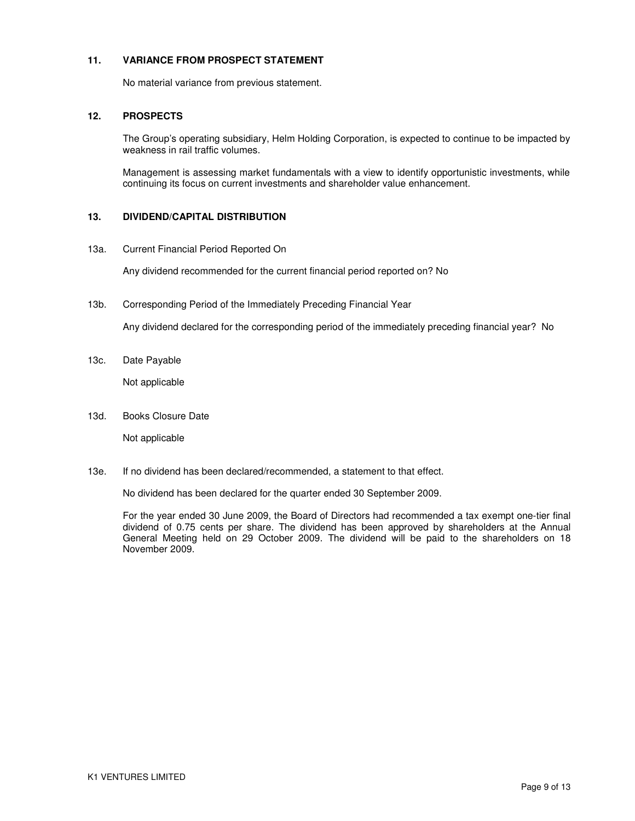## **11. VARIANCE FROM PROSPECT STATEMENT**

No material variance from previous statement.

## **12. PROSPECTS**

The Group's operating subsidiary, Helm Holding Corporation, is expected to continue to be impacted by weakness in rail traffic volumes.

Management is assessing market fundamentals with a view to identify opportunistic investments, while continuing its focus on current investments and shareholder value enhancement.

### **13. DIVIDEND/CAPITAL DISTRIBUTION**

13a. Current Financial Period Reported On

Any dividend recommended for the current financial period reported on? No

13b. Corresponding Period of the Immediately Preceding Financial Year

Any dividend declared for the corresponding period of the immediately preceding financial year? No

13c. Date Payable

Not applicable

13d. Books Closure Date

Not applicable

13e. If no dividend has been declared/recommended, a statement to that effect.

No dividend has been declared for the quarter ended 30 September 2009.

For the year ended 30 June 2009, the Board of Directors had recommended a tax exempt one-tier final dividend of 0.75 cents per share. The dividend has been approved by shareholders at the Annual General Meeting held on 29 October 2009. The dividend will be paid to the shareholders on 18 November 2009.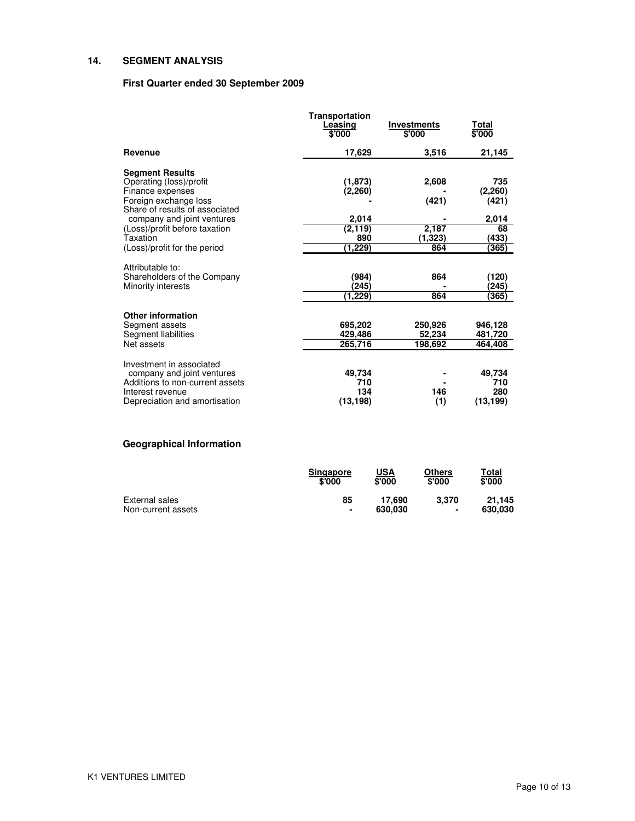## **14. SEGMENT ANALYSIS**

## **First Quarter ended 30 September 2009**

|                                                                                                                                                                                                                                             | Transportation<br>Leasing<br>\$'000                        | <b>Investments</b><br>\$'000              | Total<br>\$'000                                          |
|---------------------------------------------------------------------------------------------------------------------------------------------------------------------------------------------------------------------------------------------|------------------------------------------------------------|-------------------------------------------|----------------------------------------------------------|
| <b>Revenue</b>                                                                                                                                                                                                                              | 17,629                                                     | 3,516                                     | 21,145                                                   |
| <b>Segment Results</b><br>Operating (loss)/profit<br>Finance expenses<br>Foreign exchange loss<br>Share of results of associated<br>company and joint ventures<br>(Loss)/profit before taxation<br>Taxation<br>(Loss)/profit for the period | (1,873)<br>(2,260)<br>2,014<br>(2, 119)<br>890<br>(1, 229) | 2,608<br>(421)<br>2,187<br>(1,323)<br>864 | 735<br>(2,260)<br>(421)<br>2,014<br>68<br>(433)<br>(365) |
| Attributable to:<br>Shareholders of the Company<br>Minority interests                                                                                                                                                                       | (984)<br>245)<br>(1,229)                                   | 864<br>864                                | (120)<br>(245)<br>(365)                                  |
| <b>Other information</b><br>Segment assets<br>Segment liabilities<br>Net assets                                                                                                                                                             | 695,202<br>429,486<br>265,716                              | 250,926<br>52,234<br>198,692              | 946,128<br>481,720<br>464,408                            |
| Investment in associated<br>company and joint ventures<br>Additions to non-current assets<br>Interest revenue<br>Depreciation and amortisation                                                                                              | 49,734<br>710<br>134<br>(13, 198)                          | 146<br>(1)                                | 49,734<br>710<br>280<br>(13, 199)                        |

# **Geographical Information**

|                    | <b>Singapore</b><br>\$'000 | USA<br>\$'000 | <b>Others</b><br>\$'000 | Total<br>\$'000 |
|--------------------|----------------------------|---------------|-------------------------|-----------------|
| External sales     | 85                         | 17.690        | 3.370                   | 21.145          |
| Non-current assets | ۰                          | 630.030       | ۰                       | 630.030         |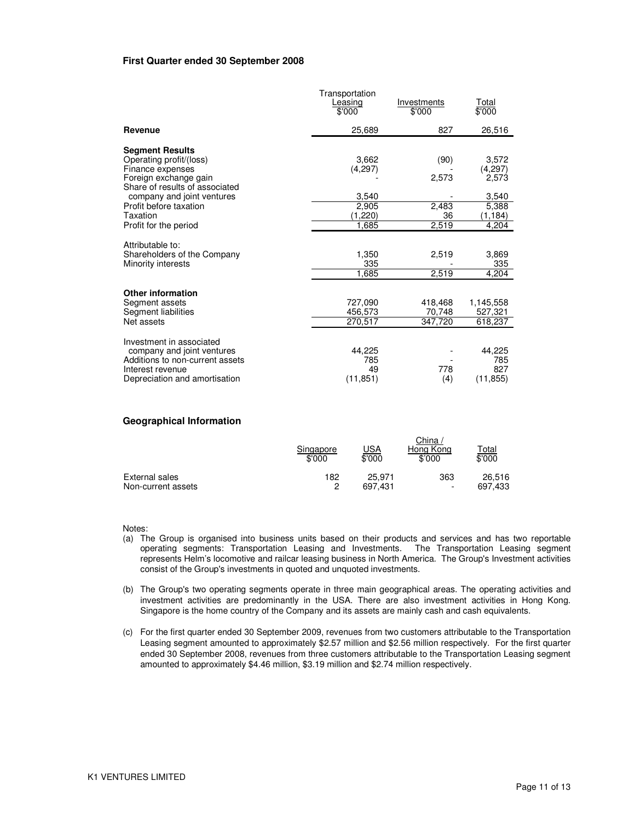#### **First Quarter ended 30 September 2008**

|                                                                                                                                                | Transportation<br>Leasing<br>\$'000 | Investments<br>\$'000        | <u>Total</u><br>\$'000              |
|------------------------------------------------------------------------------------------------------------------------------------------------|-------------------------------------|------------------------------|-------------------------------------|
| Revenue                                                                                                                                        | 25,689                              | 827                          | 26,516                              |
| <b>Segment Results</b><br>Operating profit/(loss)<br>Finance expenses<br>Foreign exchange gain<br>Share of results of associated               | 3,662<br>(4,297)                    | (90)<br>2,573                | 3,572<br>(4,297)<br>2,573           |
| company and joint ventures<br>Profit before taxation<br>Taxation<br>Profit for the period                                                      | 3,540<br>2,905<br>(1,220)<br>1.685  | 2,483<br>36<br>2,519         | 3,540<br>5,388<br>(1, 184)<br>4.204 |
| Attributable to:<br>Shareholders of the Company<br>Minority interests                                                                          | 1,350<br>335<br>1,685               | 2,519<br>2,519               | 3,869<br>335<br>4.204               |
| <b>Other information</b><br>Segment assets<br>Segment liabilities<br>Net assets                                                                | 727,090<br>456,573<br>270,517       | 418,468<br>70,748<br>347,720 | 1,145,558<br>527,321<br>618,237     |
| Investment in associated<br>company and joint ventures<br>Additions to non-current assets<br>Interest revenue<br>Depreciation and amortisation | 44,225<br>785<br>49<br>(11, 851)    | 778<br>(4)                   | 44,225<br>785<br>827<br>(11, 855)   |

### **Geographical Information**

|                    | Singapore<br>\$'000 | <u>JSA</u><br>\$'000 | China<br>Hong Kong<br>\$'000 | T <u>otal</u><br>\$'000 |
|--------------------|---------------------|----------------------|------------------------------|-------------------------|
| External sales     | 182                 | 25.971               | 363                          | 26.516                  |
| Non-current assets | 0                   | 697.431              | $\overline{\phantom{a}}$     | 697,433                 |

Notes:

- (a) The Group is organised into business units based on their products and services and has two reportable operating segments: Transportation Leasing and Investments. The Transportation Leasing segment represents Helm's locomotive and railcar leasing business in North America. The Group's Investment activities consist of the Group's investments in quoted and unquoted investments.
- (b) The Group's two operating segments operate in three main geographical areas. The operating activities and investment activities are predominantly in the USA. There are also investment activities in Hong Kong. Singapore is the home country of the Company and its assets are mainly cash and cash equivalents.
- (c) For the first quarter ended 30 September 2009, revenues from two customers attributable to the Transportation Leasing segment amounted to approximately \$2.57 million and \$2.56 million respectively. For the first quarter ended 30 September 2008, revenues from three customers attributable to the Transportation Leasing segment amounted to approximately \$4.46 million, \$3.19 million and \$2.74 million respectively.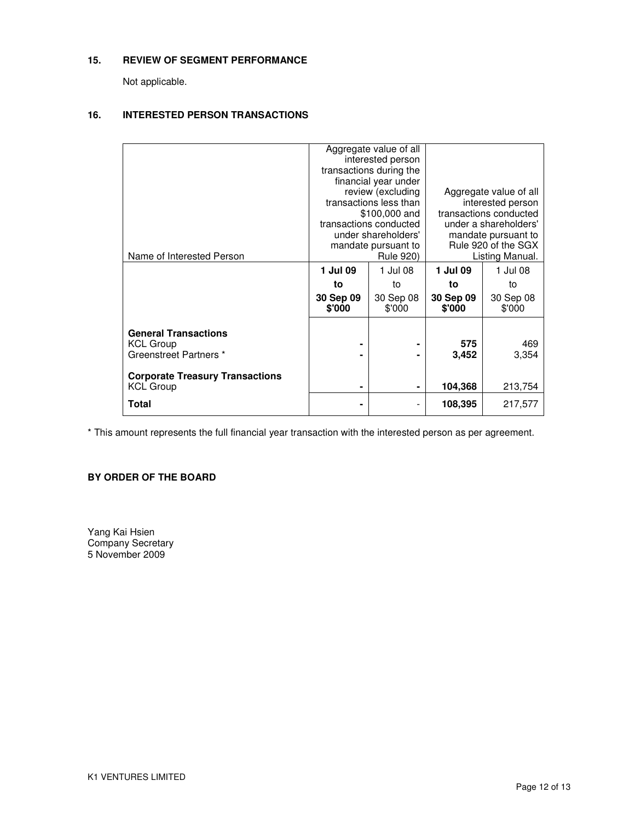## **15. REVIEW OF SEGMENT PERFORMANCE**

Not applicable.

## **16. INTERESTED PERSON TRANSACTIONS**

|                                                                           | Aggregate value of all<br>interested person<br>transactions during the<br>financial year under<br>review (excluding<br>transactions less than<br>\$100,000 and<br>transactions conducted<br>under shareholders'<br>mandate pursuant to |                     | Aggregate value of all<br>interested person<br>transactions conducted<br>under a shareholders'<br>mandate pursuant to<br>Rule 920 of the SGX |                     |
|---------------------------------------------------------------------------|----------------------------------------------------------------------------------------------------------------------------------------------------------------------------------------------------------------------------------------|---------------------|----------------------------------------------------------------------------------------------------------------------------------------------|---------------------|
| Name of Interested Person                                                 | <b>Rule 920)</b>                                                                                                                                                                                                                       |                     | Listing Manual.                                                                                                                              |                     |
|                                                                           | 1 Jul 09                                                                                                                                                                                                                               | 1 Jul 08            | 1 Jul 09                                                                                                                                     | 1 Jul 08            |
|                                                                           | to                                                                                                                                                                                                                                     | to                  | to                                                                                                                                           | to                  |
|                                                                           | 30 Sep 09<br>\$'000                                                                                                                                                                                                                    | 30 Sep 08<br>\$'000 | 30 Sep 09<br>\$'000                                                                                                                          | 30 Sep 08<br>\$'000 |
| <b>General Transactions</b><br><b>KCL Group</b><br>Greenstreet Partners * |                                                                                                                                                                                                                                        |                     | 575<br>3,452                                                                                                                                 | 469<br>3,354        |
| <b>Corporate Treasury Transactions</b><br><b>KCL Group</b>                | ۰                                                                                                                                                                                                                                      | ۰                   | 104,368                                                                                                                                      | 213,754             |
| Total                                                                     |                                                                                                                                                                                                                                        | $\overline{a}$      | 108,395                                                                                                                                      | 217,577             |

\* This amount represents the full financial year transaction with the interested person as per agreement.

## **BY ORDER OF THE BOARD**

Yang Kai Hsien Company Secretary 5 November 2009